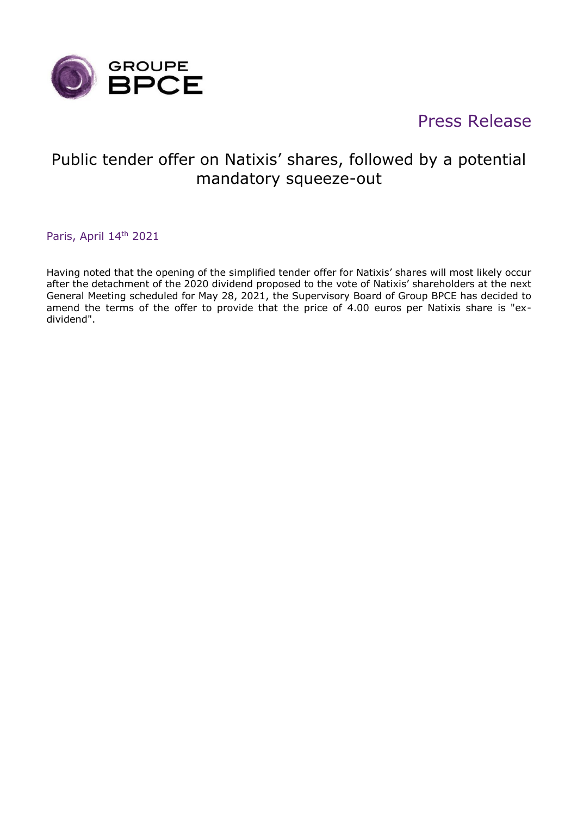

# Press Release

## Public tender offer on Natixis' shares, followed by a potential mandatory squeeze-out

Paris, April 14<sup>th</sup> 2021

Having noted that the opening of the simplified tender offer for Natixis' shares will most likely occur after the detachment of the 2020 dividend proposed to the vote of Natixis' shareholders at the next General Meeting scheduled for May 28, 2021, the Supervisory Board of Group BPCE has decided to amend the terms of the offer to provide that the price of 4.00 euros per Natixis share is "exdividend".